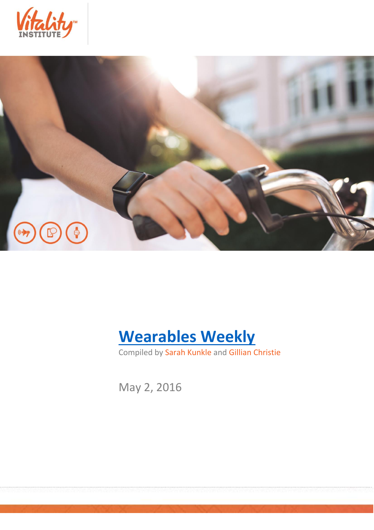





Compiled by Sarah Kunkle and Gillian Christie

May 2, 2016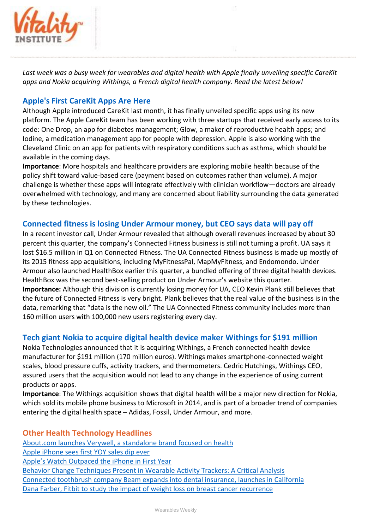

*Last week was a busy week for wearables and digital health with Apple finally unveiling specific CareKit apps and Nokia acquiring Withings, a French digital health company. Read the latest below!*

## **[Apple's First CareKit Apps Are Here](http://www.fastcompany.com/3059372/most-innovative-companies/apples-first-carekit-apps-are-here)**

Although Apple introduced CareKit last month, it has finally unveiled specific apps using its new platform. The Apple CareKit team has been working with three startups that received early access to its code: One Drop, an app for diabetes management; Glow, a maker of reproductive health apps; and Iodine, a medication management app for people with depression. Apple is also working with the Cleveland Clinic on an app for patients with respiratory conditions such as asthma, which should be available in the coming days.

**Importance**: More hospitals and healthcare providers are exploring mobile health because of the policy shift toward value-based care (payment based on outcomes rather than volume). A major challenge is whether these apps will integrate effectively with clinician workflow—doctors are already overwhelmed with technology, and many are concerned about liability surrounding the data generated by these technologies.

## **[Connected fitness is losing Under Armour money, but CEO says data will pay off](http://mobihealthnews.com/content/connected-fitness-losing-under-armour-money-ceo-says-data-will-pay)**

In a recent investor call, Under Armour revealed that although overall revenues increased by about 30 percent this quarter, the company's Connected Fitness business is still not turning a profit. UA says it lost \$16.5 million in Q1 on Connected Fitness. The UA Connected Fitness business is made up mostly of its 2015 fitness app acquisitions, including MyFitnessPal, MapMyFitness, and Endomondo. Under Armour also launched HealthBox earlier this quarter, a bundled offering of three digital health devices. HealthBox was the second best-selling product on Under Armour's website this quarter. **Importance:** Although this division is currently losing money for UA, CEO Kevin Plank still believes that the future of Connected Fitness is very bright. Plank believes that the real value of the business is in the data, remarking that "data is the new oil." The UA Connected Fitness community includes more than 160 million users with 100,000 new users registering every day.

## **[Tech giant Nokia to acquire digital health device maker Withings for \\$191 million](http://mobihealthnews.com/content/tech-giant-nokia-acquire-digital-health-device-maker-withings-191-million)**

Nokia Technologies announced that it is acquiring Withings, a French connected health device manufacturer for \$191 million (170 million euros). Withings makes smartphone-connected weight scales, blood pressure cuffs, activity trackers, and thermometers. Cedric Hutchings, Withings CEO, assured users that the acquisition would not lead to any change in the experience of using current products or apps.

**Importance**: The Withings acquisition shows that digital health will be a major new direction for Nokia, which sold its mobile phone business to Microsoft in 2014, and is part of a broader trend of companies entering the digital health space – Adidas, Fossil, Under Armour, and more.

## **Other Health Technology Headlines**

[About.com launches Verywell, a standalone brand focused on health](http://techcrunch.com/2016/04/26/about-com-launches-verywell-a-standalone-brand-focused-on-health/) [Apple iPhone sees first YOY sales dip ever](http://techcrunch.com/2016/04/26/apple-iphone-sees-first-yoy-sales-dip-ever/) [Apple's Watch Outpaced the iPhone in First Year](http://www.wsj.com/articles/apple-watch-with-sizable-sales-cant-shake-its-critics-1461524901) [Behavior Change Techniques Present in Wearable Activity Trackers: A Critical Analysis](http://mhealth.jmir.org/2016/2/e40/) [Connected toothbrush company Beam expands into dental insurance, launches in California](http://mobihealthnews.com/content/planned-connected-toothbrush-company-beam-expands-dental-insurance-launches-california) [Dana Farber, Fitbit to study the impact of weight loss on breast cancer recurrence](http://mobihealthnews.com/content/dana-farber-fitbit-study-impact-weight-loss-breast-cancer-recurrence)